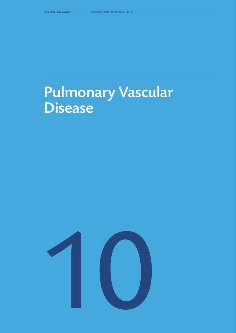# Pulmonary Vascular **Disease**

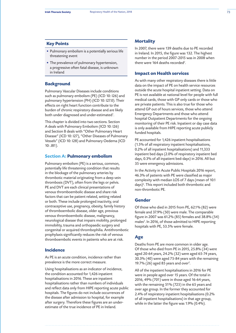#### **Key Points**

- Pulmonary embolism is a potentially serious life threatening event
- The prevalence of pulmonary hypertension, a progressive often fatal disease, is unknown in Ireland

### **Background**

Pulmonary Vascular Diseases include conditions such as pulmonary embolism (PE) (ICD 10: I26) and pulmonary hypertension (PH) (ICD 10: I27.0). Their effects on right heart function contribute to the burden of chronic respiratory disease and are likely both under diagnosed and under-estimated*<sup>1</sup>* .

This chapter is divided into two sections. Section A deals with Pulmonary Embolism (ICD 10: I26) and Section B deals with "Other Pulmonary Heart Disease" (ICD 10: I27), "Other Diseases of Pulmonary Vessels" (ICD 10: I28) and Pulmonary Oedema (ICD 10: J81).

#### **Section A: Pulmonary embolism**

Pulmonary embolism (PE) is a serious, common, potentially life threatening condition that results in the blockage of the pulmonary arteries by thrombotic material originating from a deep vein thrombosis (DVT), often from the legs or pelvis. PE and DVT are each clinical presentations of venous thromboembolic disease and share risk factors that can be patient related, setting related or both. These include prolonged inactivity, oral contraceptive use, pregnancy, obesity, family history of thromboembolic disease, older age, previous venous thromboembolic disease, malignancy, neurological disease that impairs mobility, prolonged immobility, trauma and orthopaedic surgery and congenital or acquired thrombophilia. Antithrombotic prophylaxis significantly reduces the risk of venous thromboembolic events in patients who are at risk.

### **Incidence**

As PE is an acute condition, incidence rather than prevalence is the more correct measure.

Using hospitalisations as an indicator of incidence, the condition accounted for 1,426 inpatient hospitalisations in 2016. These are inpatient hospitalisations rather than numbers of individuals and reflect data only from HIPE reporting acute public hospitals. The figures do not include occurrences of the disease after admission to hospital, for example after surgery. Therefore these figures are an underestimate of the true incidence of PE in Ireland.

# **Mortality**

In 2007, there were 139 deaths due to PE recorded in Ireland. In 2015, the figure was 132. The highest number in the period 2007-2015 was in 2008 when there were 164 deaths recorded*<sup>2</sup>* .

# **Impact on Health services**

As with many other respiratory diseases there is little data on the impact of PE on health service resources outside the acute hospital inpatient setting. Data on PE is not available at national level for people with full medical cards, those with GP only cards or those who are private patients. This is also true for those who attend GP out of hours services, those who attend Emergency Departments and those who attend hospital Outpatient Departments for the ongoing monitoring of their PE risk. Inpatient or day case data is only available from HIPE reporting acute publicly funded hospitals.

PE accounted for 1,426 inpatient hospitalisations (1.5% of all respiratory inpatient hospitalisations, 0.2% of all inpatient hospitalisations) and 11,333 inpatient bed days (2.0% of respiratory inpatient bed days, 0.3% of all inpatient bed-days) in 2016. All but 35 were emergency admissions.

In the Activity in Acute Public Hospitals 2016 report, 46.3% of patients with PE were classified as major complexity with median LOS of 7 days (mean of 10.1 days)*<sup>3</sup>* . This report included both thrombotic and non-thrombotic PE.

#### **Gender**

Of those who died in 2015 from PE, 62.1% (82) were female and 37.9% (50) were male. The comparable figure in 2007 was 61.2% (85) females and 38.8% (54) males*<sup>2</sup>* . In 2016, of those admitted to HIPE reporting hospitals with PE, 53.5% were female.

# **Age**

Deaths from PE are more common in older age. Of those who died from PE in 2015, 25.8% (34) were aged 20-64 years, 24.2% (32) were aged 65-74 years, 30.3% (40) were aged 75-84 years with the remaining 19.7% (26) aged 85 years and over*<sup>2</sup>* .

All of the inpatient hospitalisations in 2016 for PE were in people aged over 15 years. Of the total in 2016, 49% (701) were in those aged 16-64 years, with the remaining 51% (725) in the 65 years and over age group. In the former they accounted for 2.4% of respiratory inpatient hospitalisations (0.2% of all inpatient hospitalisations) in that age group, while in the latter the figure was 1.9% (0.4%).